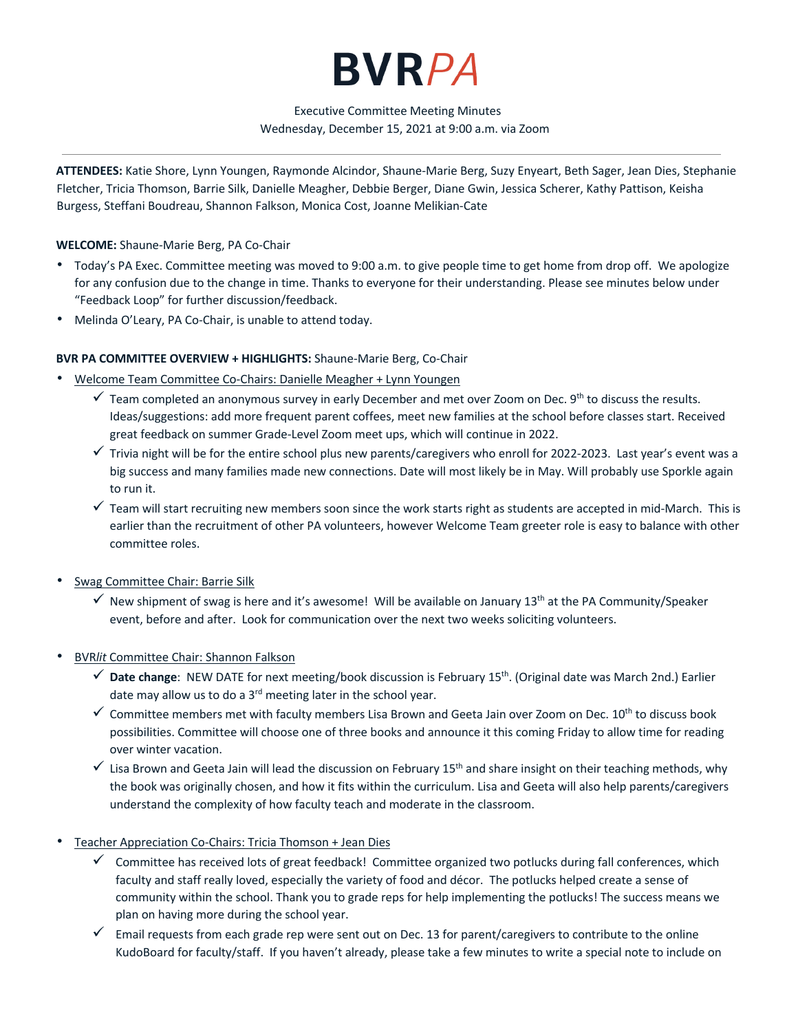# **BVRPA**

# Executive Committee Meeting Minutes Wednesday, December 15, 2021 at 9:00 a.m. via Zoom

**ATTENDEES:** Katie Shore, Lynn Youngen, Raymonde Alcindor, Shaune-Marie Berg, Suzy Enyeart, Beth Sager, Jean Dies, Stephanie Fletcher, Tricia Thomson, Barrie Silk, Danielle Meagher, Debbie Berger, Diane Gwin, Jessica Scherer, Kathy Pattison, Keisha Burgess, Steffani Boudreau, Shannon Falkson, Monica Cost, Joanne Melikian-Cate

## **WELCOME:** Shaune-Marie Berg, PA Co-Chair

- Today's PA Exec. Committee meeting was moved to 9:00 a.m. to give people time to get home from drop off. We apologize for any confusion due to the change in time. Thanks to everyone for their understanding. Please see minutes below under "Feedback Loop" for further discussion/feedback.
- Melinda O'Leary, PA Co-Chair, is unable to attend today.

#### **BVR PA COMMITTEE OVERVIEW + HIGHLIGHTS:** Shaune-Marie Berg, Co-Chair

- Welcome Team Committee Co-Chairs: Danielle Meagher + Lynn Youngen
	- $\checkmark$  Team completed an anonymous survey in early December and met over Zoom on Dec. 9<sup>th</sup> to discuss the results. Ideas/suggestions: add more frequent parent coffees, meet new families at the school before classes start. Received great feedback on summer Grade-Level Zoom meet ups, which will continue in 2022.
	- $\checkmark$  Trivia night will be for the entire school plus new parents/caregivers who enroll for 2022-2023. Last year's event was a big success and many families made new connections. Date will most likely be in May. Will probably use Sporkle again to run it.
	- $\checkmark$  Team will start recruiting new members soon since the work starts right as students are accepted in mid-March. This is earlier than the recruitment of other PA volunteers, however Welcome Team greeter role is easy to balance with other committee roles.
- Swag Committee Chair: Barrie Silk
	- $\checkmark$  New shipment of swag is here and it's awesome! Will be available on January 13<sup>th</sup> at the PA Community/Speaker event, before and after. Look for communication over the next two weeks soliciting volunteers.
- BVR*lit* Committee Chair: Shannon Falkson
	- ü **Date change**: NEW DATE for next meeting/book discussion is February 15th. (Original date was March 2nd.) Earlier date may allow us to do a 3<sup>rd</sup> meeting later in the school year.
	- $\checkmark$  Committee members met with faculty members Lisa Brown and Geeta Jain over Zoom on Dec. 10<sup>th</sup> to discuss book possibilities. Committee will choose one of three books and announce it this coming Friday to allow time for reading over winter vacation.
	- $\checkmark$  Lisa Brown and Geeta Jain will lead the discussion on February 15<sup>th</sup> and share insight on their teaching methods, why the book was originally chosen, and how it fits within the curriculum. Lisa and Geeta will also help parents/caregivers understand the complexity of how faculty teach and moderate in the classroom.
- Teacher Appreciation Co-Chairs: Tricia Thomson + Jean Dies
	- $\checkmark$  Committee has received lots of great feedback! Committee organized two potlucks during fall conferences, which faculty and staff really loved, especially the variety of food and décor. The potlucks helped create a sense of community within the school. Thank you to grade reps for help implementing the potlucks! The success means we plan on having more during the school year.
	- ü Email requests from each grade rep were sent out on Dec. 13 for parent/caregivers to contribute to the online KudoBoard for faculty/staff. If you haven't already, please take a few minutes to write a special note to include on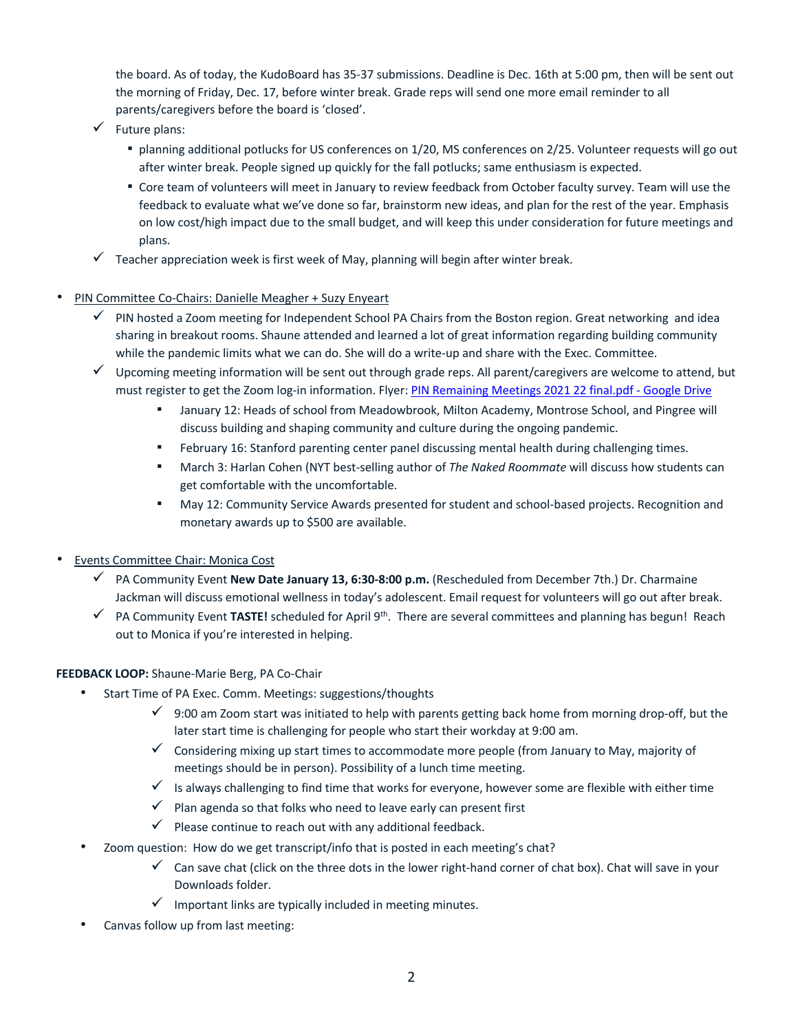the board. As of today, the KudoBoard has 35-37 submissions. Deadline is Dec. 16th at 5:00 pm, then will be sent out the morning of Friday, Dec. 17, before winter break. Grade reps will send one more email reminder to all parents/caregivers before the board is 'closed'.

- $\checkmark$  Future plans:
	- planning additional potlucks for US conferences on 1/20, MS conferences on 2/25. Volunteer requests will go out after winter break. People signed up quickly for the fall potlucks; same enthusiasm is expected.
	- Core team of volunteers will meet in January to review feedback from October faculty survey. Team will use the feedback to evaluate what we've done so far, brainstorm new ideas, and plan for the rest of the year. Emphasis on low cost/high impact due to the small budget, and will keep this under consideration for future meetings and plans.
- Teacher appreciation week is first week of May, planning will begin after winter break.

# • PIN Committee Co-Chairs: Danielle Meagher + Suzy Enyeart

- PIN hosted a Zoom meeting for Independent School PA Chairs from the Boston region. Great networking and idea sharing in breakout rooms. Shaune attended and learned a lot of great information regarding building community while the pandemic limits what we can do. She will do a write-up and share with the Exec. Committee.
- $\checkmark$  Upcoming meeting information will be sent out through grade reps. All parent/caregivers are welcome to attend, but must register to get the Zoom log-in information. Flyer: PIN Remaining Meetings 2021 22 final.pdf - Google Drive
	- January 12: Heads of school from Meadowbrook, Milton Academy, Montrose School, and Pingree will discuss building and shaping community and culture during the ongoing pandemic.
	- February 16: Stanford parenting center panel discussing mental health during challenging times.
	- March 3: Harlan Cohen (NYT best-selling author of *The Naked Roommate* will discuss how students can get comfortable with the uncomfortable.
	- May 12: Community Service Awards presented for student and school-based projects. Recognition and monetary awards up to \$500 are available.
- Events Committee Chair: Monica Cost
	- ü PA Community Event **New Date January 13, 6:30-8:00 p.m.** (Rescheduled from December 7th.) Dr. Charmaine Jackman will discuss emotional wellness in today's adolescent. Email request for volunteers will go out after break.
	- ü PA Community Event **TASTE!** scheduled for April 9th. There are several committees and planning has begun! Reach out to Monica if you're interested in helping.

## **FEEDBACK LOOP:** Shaune-Marie Berg, PA Co-Chair

- Start Time of PA Exec. Comm. Meetings: suggestions/thoughts
	- $\checkmark$  9:00 am Zoom start was initiated to help with parents getting back home from morning drop-off, but the later start time is challenging for people who start their workday at 9:00 am.
	- $\checkmark$  Considering mixing up start times to accommodate more people (from January to May, majority of meetings should be in person). Possibility of a lunch time meeting.
	- $\checkmark$  Is always challenging to find time that works for everyone, however some are flexible with either time
	- $\checkmark$  Plan agenda so that folks who need to leave early can present first
	- $\checkmark$  Please continue to reach out with any additional feedback.
- Zoom question: How do we get transcript/info that is posted in each meeting's chat?
	- $\checkmark$  Can save chat (click on the three dots in the lower right-hand corner of chat box). Chat will save in your Downloads folder.
	- $\checkmark$  Important links are typically included in meeting minutes.
- Canvas follow up from last meeting: